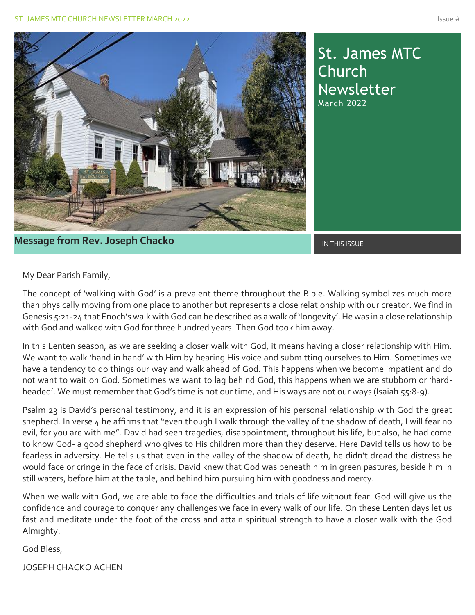

St. James MTC Church Newsletter March 2022

### **Message from Rev. Joseph Chacko International Construction of the INTHIS ISSUE**

My Dear Parish Family,

The concept of 'walking with God' is a prevalent theme throughout the Bible. Walking symbolizes much more than physically moving from one place to another but represents a close relationship with our creator. We find in Genesis 5:21-24 that Enoch's walk with God can be described as a walk of 'longevity'. He was in a close relationship with God and walked with God for three hundred years. Then God took him away.

In this Lenten season, as we are seeking a closer walk with God, it means having a closer relationship with Him. We want to walk 'hand in hand' with Him by hearing His voice and submitting ourselves to Him. Sometimes we have a tendency to do things our way and walk ahead of God. This happens when we become impatient and do not want to wait on God. Sometimes we want to lag behind God, this happens when we are stubborn or 'hardheaded'. We must remember that God's time is not our time, and His ways are not our ways (Isaiah 55:8-9).

Psalm 23 is David's personal testimony, and it is an expression of his personal relationship with God the great shepherd. In verse 4 he affirms that "even though I walk through the valley of the shadow of death, I will fear no evil, for you are with me". David had seen tragedies, disappointment, throughout his life, but also, he had come to know God- a good shepherd who gives to His children more than they deserve. Here David tells us how to be fearless in adversity. He tells us that even in the valley of the shadow of death, he didn't dread the distress he would face or cringe in the face of crisis. David knew that God was beneath him in green pastures, beside him in still waters, before him at the table, and behind him pursuing him with goodness and mercy.

When we walk with God, we are able to face the difficulties and trials of life without fear. God will give us the confidence and courage to conquer any challenges we face in every walk of our life. On these Lenten days let us fast and meditate under the foot of the cross and attain spiritual strength to have a closer walk with the God Almighty.

God Bless,

JOSEPH CHACKO ACHEN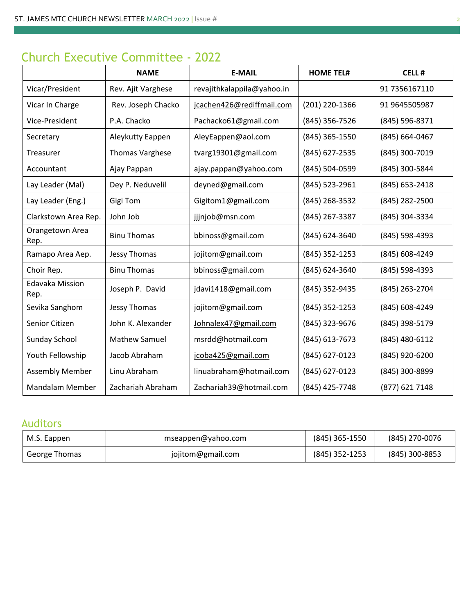# Church Executive Committee - 2022

|                                | <b>NAME</b>            | <b>E-MAIL</b>              | <b>HOME TEL#</b> | <b>CELL#</b>   |
|--------------------------------|------------------------|----------------------------|------------------|----------------|
| Vicar/President                | Rev. Ajit Varghese     | revajithkalappila@yahoo.in |                  | 91 7356167110  |
| Vicar In Charge                | Rev. Joseph Chacko     | jcachen426@rediffmail.com  | (201) 220-1366   | 91 9645505987  |
| Vice-President                 | P.A. Chacko            | Pachacko61@gmail.com       | (845) 356-7526   | (845) 596-8371 |
| Secretary                      | Aleykutty Eappen       | AleyEappen@aol.com         | (845) 365-1550   | (845) 664-0467 |
| Treasurer                      | <b>Thomas Varghese</b> | tvarg19301@gmail.com       | (845) 627-2535   | (845) 300-7019 |
| Accountant                     | Ajay Pappan            | ajay.pappan@yahoo.com      | (845) 504-0599   | (845) 300-5844 |
| Lay Leader (Mal)               | Dey P. Neduvelil       | deyned@gmail.com           | (845) 523-2961   | (845) 653-2418 |
| Lay Leader (Eng.)              | Gigi Tom               | Gigitom1@gmail.com         | (845) 268-3532   | (845) 282-2500 |
| Clarkstown Area Rep.           | John Job               | jjjnjob@msn.com            | (845) 267-3387   | (845) 304-3334 |
| Orangetown Area<br>Rep.        | <b>Binu Thomas</b>     | bbinoss@gmail.com          | (845) 624-3640   | (845) 598-4393 |
| Ramapo Area Aep.               | Jessy Thomas           | jojitom@gmail.com          | (845) 352-1253   | (845) 608-4249 |
| Choir Rep.                     | <b>Binu Thomas</b>     | bbinoss@gmail.com          | (845) 624-3640   | (845) 598-4393 |
| <b>Edavaka Mission</b><br>Rep. | Joseph P. David        | jdavi1418@gmail.com        | (845) 352-9435   | (845) 263-2704 |
| Sevika Sanghom                 | Jessy Thomas           | jojitom@gmail.com          | (845) 352-1253   | (845) 608-4249 |
| Senior Citizen                 | John K. Alexander      | Johnalex47@gmail.com       | (845) 323-9676   | (845) 398-5179 |
| Sunday School                  | <b>Mathew Samuel</b>   | msrdd@hotmail.com          | (845) 613-7673   | (845) 480-6112 |
| Youth Fellowship               | Jacob Abraham          | jcoba425@gmail.com         | (845) 627-0123   | (845) 920-6200 |
| <b>Assembly Member</b>         | Linu Abraham           | linuabraham@hotmail.com    | (845) 627-0123   | (845) 300-8899 |
| <b>Mandalam Member</b>         | Zachariah Abraham      | Zachariah39@hotmail.com    | (845) 425-7748   | (877) 621 7148 |

## Auditors

| M.S. Eappen   | mseappen@yahoo.com | $(845)$ 365-1550 | (845) 270-0076   |
|---------------|--------------------|------------------|------------------|
| George Thomas | jojitom@gmail.com  | $(845)$ 352-1253 | $(845)$ 300-8853 |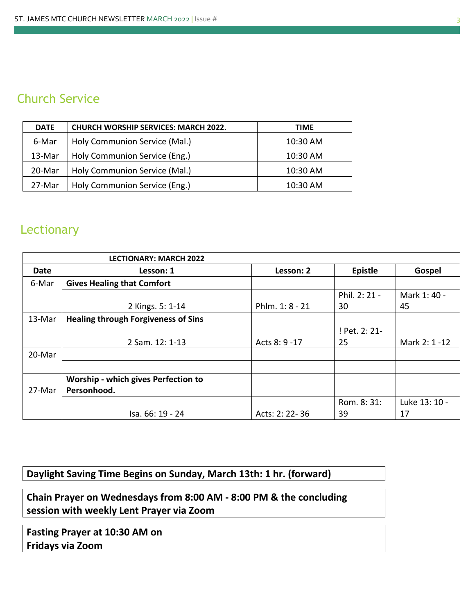# Church Service

| <b>DATE</b> | <b>CHURCH WORSHIP SERVICES: MARCH 2022.</b> | TIME     |
|-------------|---------------------------------------------|----------|
| 6-Mar       | Holy Communion Service (Mal.)               | 10:30 AM |
| 13-Mar      | Holy Communion Service (Eng.)               | 10:30 AM |
| 20-Mar      | Holy Communion Service (Mal.)               | 10:30 AM |
| 27-Mar      | Holy Communion Service (Eng.)               | 10:30 AM |

# **Lectionary**

|        | <b>LECTIONARY: MARCH 2022</b>              |                 |                |               |
|--------|--------------------------------------------|-----------------|----------------|---------------|
| Date   | Lesson: 1                                  | Lesson: 2       | <b>Epistle</b> | Gospel        |
| 6-Mar  | <b>Gives Healing that Comfort</b>          |                 |                |               |
|        |                                            |                 | Phil. 2: 21 -  | Mark 1: 40 -  |
|        | 2 Kings. 5: 1-14                           | Phlm. 1: 8 - 21 | 30             | 45            |
| 13-Mar | <b>Healing through Forgiveness of Sins</b> |                 |                |               |
|        |                                            |                 | ! Pet. 2: 21-  |               |
|        | 2 Sam. 12: 1-13                            | Acts 8: 9 - 17  | 25             | Mark 2: 1 -12 |
| 20-Mar |                                            |                 |                |               |
|        |                                            |                 |                |               |
|        | <b>Worship - which gives Perfection to</b> |                 |                |               |
| 27-Mar | Personhood.                                |                 |                |               |
|        |                                            |                 | Rom. 8: 31:    | Luke 13: 10 - |
|        | Isa. 66: 19 - 24                           | Acts: 2: 22-36  | 39             | 17            |

### **Daylight Saving Time Begins on Sunday, March 13th: 1 hr. (forward)**

**Chain Prayer on Wednesdays from 8:00 AM - 8:00 PM & the concluding session with weekly Lent Prayer via Zoom**

**Fasting Prayer at 10:30 AM on Fridays via Zoom**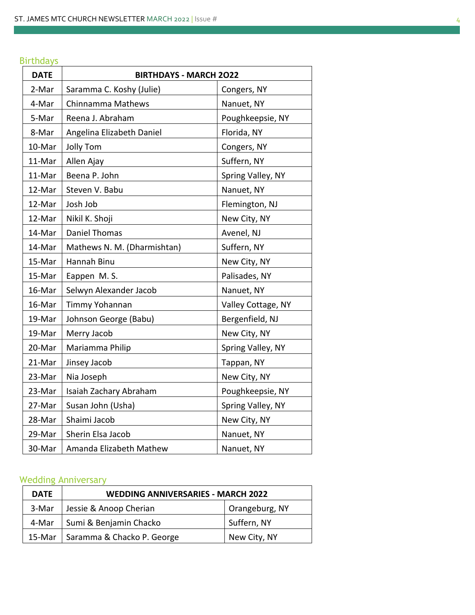#### Birthdays

| <b>DATE</b> | <b>BIRTHDAYS - MARCH 2022</b>      |                    |  |
|-------------|------------------------------------|--------------------|--|
| 2-Mar       | Saramma C. Koshy (Julie)           | Congers, NY        |  |
| 4-Mar       | Chinnamma Mathews                  | Nanuet, NY         |  |
| 5-Mar       | Reena J. Abraham                   | Poughkeepsie, NY   |  |
| 8-Mar       | Angelina Elizabeth Daniel          | Florida, NY        |  |
| 10-Mar      | <b>Jolly Tom</b>                   | Congers, NY        |  |
| 11-Mar      | Allen Ajay                         | Suffern, NY        |  |
| 11-Mar      | Spring Valley, NY<br>Beena P. John |                    |  |
| 12-Mar      | Steven V. Babu<br>Nanuet, NY       |                    |  |
| 12-Mar      | Josh Job                           | Flemington, NJ     |  |
| 12-Mar      | Nikil K. Shoji                     | New City, NY       |  |
| 14-Mar      | <b>Daniel Thomas</b>               | Avenel, NJ         |  |
| 14-Mar      | Mathews N. M. (Dharmishtan)        | Suffern, NY        |  |
| 15-Mar      | Hannah Binu                        | New City, NY       |  |
| 15-Mar      | Eappen M.S.                        | Palisades, NY      |  |
| 16-Mar      | Selwyn Alexander Jacob             | Nanuet, NY         |  |
| 16-Mar      | Timmy Yohannan                     | Valley Cottage, NY |  |
| 19-Mar      | Johnson George (Babu)              | Bergenfield, NJ    |  |
| 19-Mar      | Merry Jacob                        | New City, NY       |  |
| 20-Mar      | Mariamma Philip                    | Spring Valley, NY  |  |
| 21-Mar      | Jinsey Jacob                       | Tappan, NY         |  |
| 23-Mar      | Nia Joseph                         | New City, NY       |  |
| 23-Mar      | Isaiah Zachary Abraham             | Poughkeepsie, NY   |  |
| 27-Mar      | Susan John (Usha)                  | Spring Valley, NY  |  |
| 28-Mar      | Shaimi Jacob<br>New City, NY       |                    |  |
| 29-Mar      | Sherin Elsa Jacob                  | Nanuet, NY         |  |
| 30-Mar      | Amanda Elizabeth Mathew            | Nanuet, NY         |  |

### Wedding Anniversary<br>
Wedding Anniversary

| <b>DATE</b> | <b>WEDDING ANNIVERSARIES - MARCH 2022</b> |                |  |
|-------------|-------------------------------------------|----------------|--|
| 3-Mar       | Jessie & Anoop Cherian                    | Orangeburg, NY |  |
| 4-Mar       | Sumi & Benjamin Chacko                    | Suffern, NY    |  |
| 15-Mar      | Saramma & Chacko P. George                | New City, NY   |  |